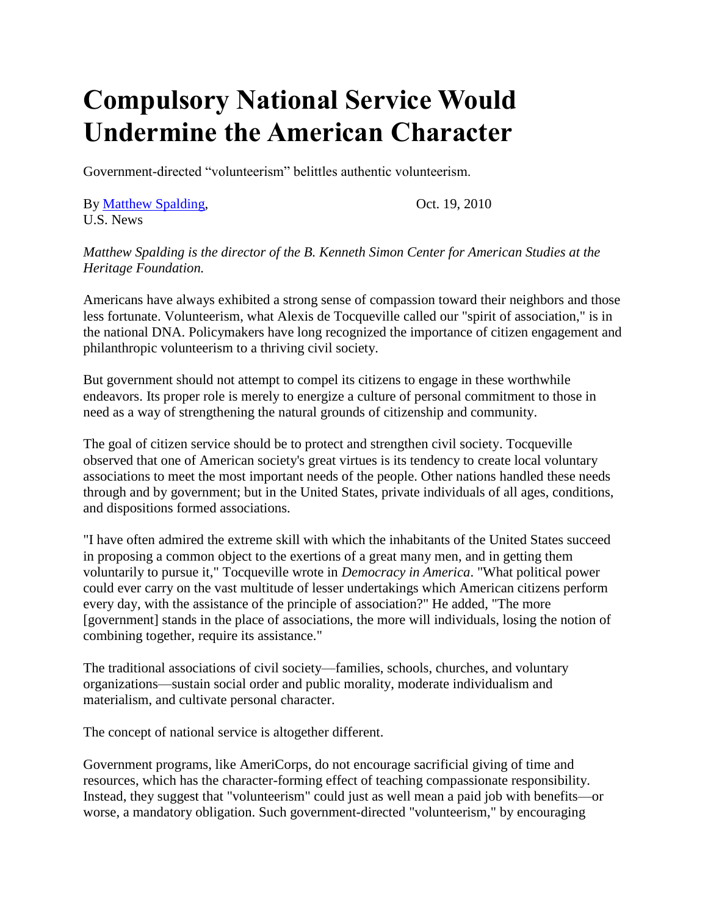## **Compulsory National Service Would Undermine the American Character**

Government-directed "volunteerism" belittles authentic volunteerism.

By [Matthew Spalding,](https://www.usnews.com/topics/author/matthew_spalding)  $\qquad \qquad$  Oct. 19, 2010 U.S. News

*Matthew Spalding is the director of the B. Kenneth Simon Center for American Studies at the Heritage Foundation.*

Americans have always exhibited a strong sense of compassion toward their neighbors and those less fortunate. Volunteerism, what Alexis de Tocqueville called our "spirit of association," is in the national DNA. Policymakers have long recognized the importance of citizen engagement and philanthropic volunteerism to a thriving civil society.

But government should not attempt to compel its citizens to engage in these worthwhile endeavors. Its proper role is merely to energize a culture of personal commitment to those in need as a way of strengthening the natural grounds of citizenship and community.

The goal of citizen service should be to protect and strengthen civil society. Tocqueville observed that one of American society's great virtues is its tendency to create local voluntary associations to meet the most important needs of the people. Other nations handled these needs through and by government; but in the United States, private individuals of all ages, conditions, and dispositions formed associations.

"I have often admired the extreme skill with which the inhabitants of the United States succeed in proposing a common object to the exertions of a great many men, and in getting them voluntarily to pursue it," Tocqueville wrote in *Democracy in America*. "What political power could ever carry on the vast multitude of lesser undertakings which American citizens perform every day, with the assistance of the principle of association?" He added, "The more [government] stands in the place of associations, the more will individuals, losing the notion of combining together, require its assistance."

The traditional associations of civil society—families, schools, churches, and voluntary organizations—sustain social order and public morality, moderate individualism and materialism, and cultivate personal character.

The concept of national service is altogether different.

Government programs, like AmeriCorps, do not encourage sacrificial giving of time and resources, which has the character-forming effect of teaching compassionate responsibility. Instead, they suggest that "volunteerism" could just as well mean a paid job with benefits—or worse, a mandatory obligation. Such government-directed "volunteerism," by encouraging